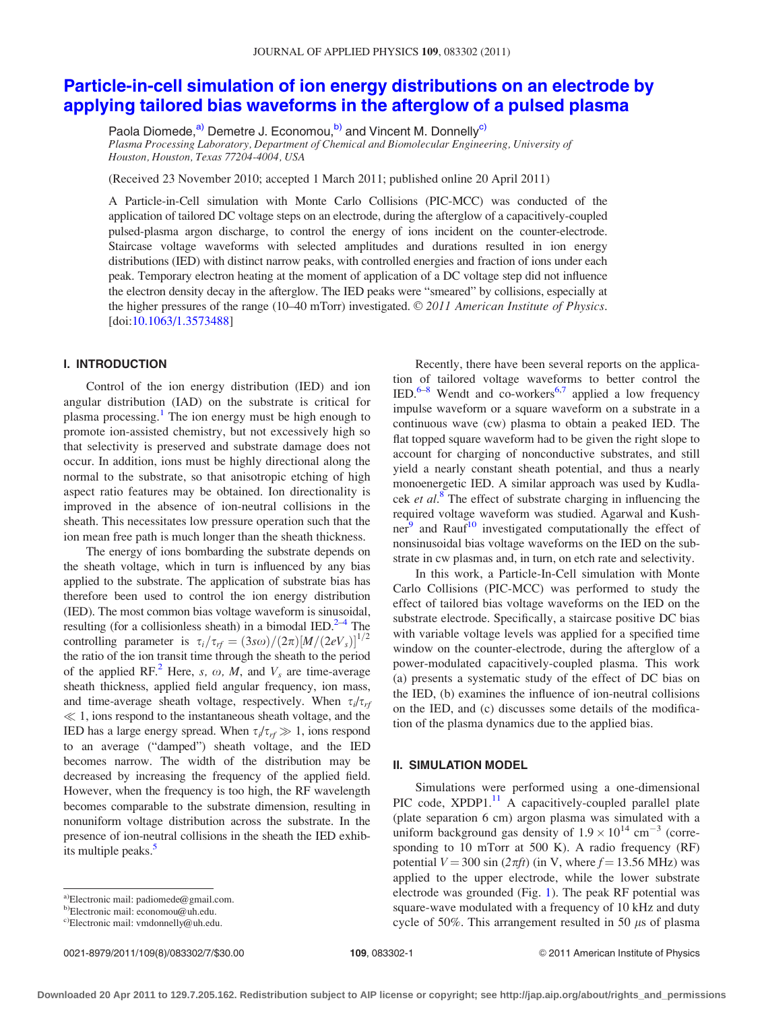# [Particle-in-cell simulation of ion energy distributions on an electrode by](http://dx.doi.org/10.1063/1.3573488) [applying tailored bias waveforms in the afterglow of a pulsed plasma](http://dx.doi.org/10.1063/1.3573488)

Paola Diomede,<sup>a)</sup> Demetre J. Economou,<sup>b)</sup> and Vincent M. Donnelly<sup>c)</sup> Plasma Processing Laboratory, Department of Chemical and Biomolecular Engineering, University of Houston, Houston, Texas 77204-4004, USA

(Received 23 November 2010; accepted 1 March 2011; published online 20 April 2011)

A Particle-in-Cell simulation with Monte Carlo Collisions (PIC-MCC) was conducted of the application of tailored DC voltage steps on an electrode, during the afterglow of a capacitively-coupled pulsed-plasma argon discharge, to control the energy of ions incident on the counter-electrode. Staircase voltage waveforms with selected amplitudes and durations resulted in ion energy distributions (IED) with distinct narrow peaks, with controlled energies and fraction of ions under each peak. Temporary electron heating at the moment of application of a DC voltage step did not influence the electron density decay in the afterglow. The IED peaks were "smeared" by collisions, especially at the higher pressures of the range (10–40 mTorr) investigated.  $\odot$  2011 American Institute of Physics. [doi:[10.1063/1.3573488\]](http://dx.doi.org/10.1063/1.3573488)

# I. INTRODUCTION

Control of the ion energy distribution (IED) and ion angular distribution (IAD) on the substrate is critical for plasma processing.<sup>[1](#page-6-0)</sup> The ion energy must be high enough to promote ion-assisted chemistry, but not excessively high so that selectivity is preserved and substrate damage does not occur. In addition, ions must be highly directional along the normal to the substrate, so that anisotropic etching of high aspect ratio features may be obtained. Ion directionality is improved in the absence of ion-neutral collisions in the sheath. This necessitates low pressure operation such that the ion mean free path is much longer than the sheath thickness.

The energy of ions bombarding the substrate depends on the sheath voltage, which in turn is influenced by any bias applied to the substrate. The application of substrate bias has therefore been used to control the ion energy distribution (IED). The most common bias voltage waveform is sinusoidal, resulting (for a collisionless sheath) in a bimodal IED.<sup>[2](#page-6-0)–[4](#page-6-0)</sup> The controlling parameter is  $\tau_i/\tau_{rf} = (3s\omega)/(2\pi)[M/(2eV_s)]^{1/2}$ the ratio of the ion transit time through the sheath to the period of the applied RF.<sup>[2](#page-6-0)</sup> Here, s,  $\omega$ , M, and  $V_s$  are time-average sheath thickness, applied field angular frequency, ion mass, and time-average sheath voltage, respectively. When  $\tau_i/\tau_{rf}$  $\ll$  1, ions respond to the instantaneous sheath voltage, and the IED has a large energy spread. When  $\tau_i/\tau_{rf} \gg 1$ , ions respond to an average ("damped") sheath voltage, and the IED becomes narrow. The width of the distribution may be decreased by increasing the frequency of the applied field. However, when the frequency is too high, the RF wavelength becomes comparable to the substrate dimension, resulting in nonuniform voltage distribution across the substrate. In the presence of ion-neutral collisions in the sheath the IED exhibits multiple peaks.<sup>5</sup>

0021-8979/2011/109(8)/083302/7/\$30.00 109, 083302-1 © 2011 American Institute of Physics

Recently, there have been several reports on the application of tailored voltage waveforms to better control the IED. $6-8$  Wendt and co-workers<sup>[6,7](#page-6-0)</sup> applied a low frequency impulse waveform or a square waveform on a substrate in a continuous wave (cw) plasma to obtain a peaked IED. The flat topped square waveform had to be given the right slope to account for charging of nonconductive substrates, and still yield a nearly constant sheath potential, and thus a nearly monoenergetic IED. A similar approach was used by Kudlacek et  $al$ <sup>[8](#page-6-0)</sup>. The effect of substrate charging in influencing the required voltage waveform was studied. Agarwal and Kushner $^9$  $^9$  and Rauf<sup>10</sup> investigated computationally the effect of nonsinusoidal bias voltage waveforms on the IED on the substrate in cw plasmas and, in turn, on etch rate and selectivity.

In this work, a Particle-In-Cell simulation with Monte Carlo Collisions (PIC-MCC) was performed to study the effect of tailored bias voltage waveforms on the IED on the substrate electrode. Specifically, a staircase positive DC bias with variable voltage levels was applied for a specified time window on the counter-electrode, during the afterglow of a power-modulated capacitively-coupled plasma. This work (a) presents a systematic study of the effect of DC bias on the IED, (b) examines the influence of ion-neutral collisions on the IED, and (c) discusses some details of the modification of the plasma dynamics due to the applied bias.

#### II. SIMULATION MODEL

Simulations were performed using a one-dimensional PIC code,  $XPDP1<sup>11</sup>$  $XPDP1<sup>11</sup>$  $XPDP1<sup>11</sup>$  A capacitively-coupled parallel plate (plate separation 6 cm) argon plasma was simulated with a uniform background gas density of  $1.9 \times 10^{14}$  cm<sup>-3</sup> (corresponding to 10 mTorr at 500 K). A radio frequency (RF) potential  $V = 300 \sin (2\pi ft)$  (in V, where  $f = 13.56$  MHz) was applied to the upper electrode, while the lower substrate electrode was grounded (Fig. [1\)](#page-1-0). The peak RF potential was square-wave modulated with a frequency of 10 kHz and duty cycle of 50%. This arrangement resulted in 50  $\mu$ s of plasma

a)Electronic mail: padiomede@gmail.com.

b)Electronic mail: economou@uh.edu.

 $c$ )Electronic mail: vmdonnelly@uh.edu.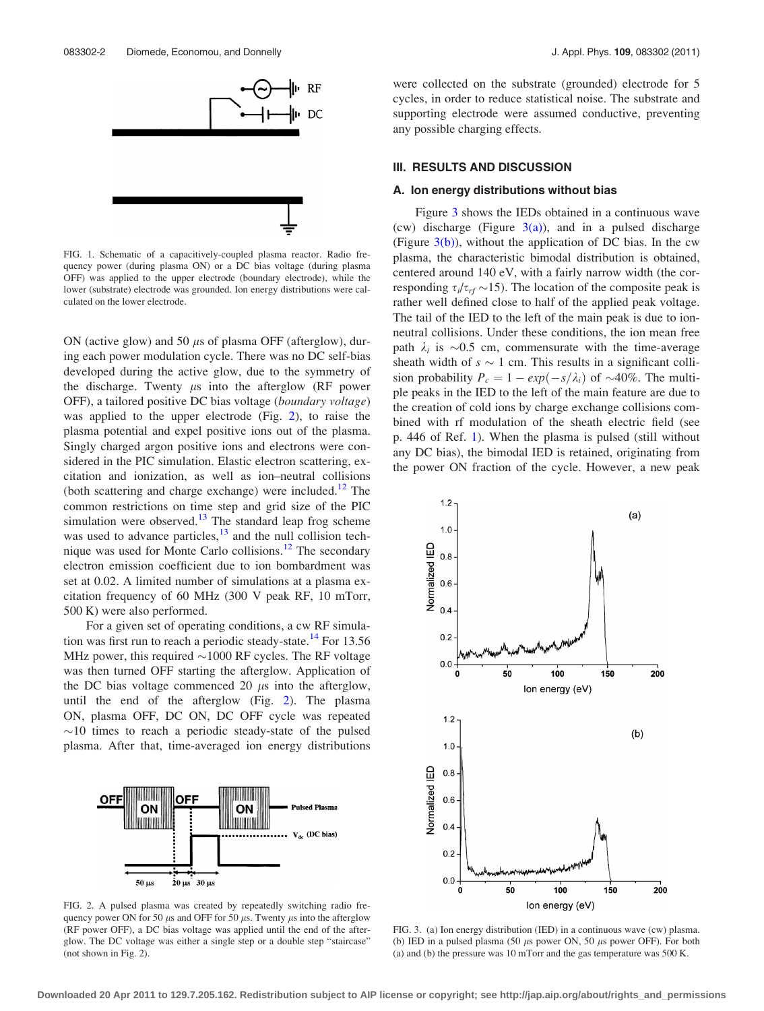<span id="page-1-0"></span>

FIG. 1. Schematic of a capacitively-coupled plasma reactor. Radio frequency power (during plasma ON) or a DC bias voltage (during plasma OFF) was applied to the upper electrode (boundary electrode), while the lower (substrate) electrode was grounded. Ion energy distributions were calculated on the lower electrode.

ON (active glow) and 50  $\mu$ s of plasma OFF (afterglow), during each power modulation cycle. There was no DC self-bias developed during the active glow, due to the symmetry of the discharge. Twenty  $\mu$ s into the afterglow (RF power OFF), a tailored positive DC bias voltage (boundary voltage) was applied to the upper electrode (Fig. 2), to raise the plasma potential and expel positive ions out of the plasma. Singly charged argon positive ions and electrons were considered in the PIC simulation. Elastic electron scattering, excitation and ionization, as well as ion–neutral collisions (both scattering and charge exchange) were included.<sup>[12](#page-6-0)</sup> The common restrictions on time step and grid size of the PIC simulation were observed.<sup>[13](#page-6-0)</sup> The standard leap frog scheme was used to advance particles, $13$  and the null collision tech-nique was used for Monte Carlo collisions.<sup>[12](#page-6-0)</sup> The secondary electron emission coefficient due to ion bombardment was set at 0.02. A limited number of simulations at a plasma excitation frequency of 60 MHz (300 V peak RF, 10 mTorr, 500 K) were also performed.

For a given set of operating conditions, a cw RF simula-tion was first run to reach a periodic steady-state.<sup>[14](#page-6-0)</sup> For 13.56 MHz power, this required  $\sim$ 1000 RF cycles. The RF voltage was then turned OFF starting the afterglow. Application of the DC bias voltage commenced 20  $\mu$ s into the afterglow, until the end of the afterglow (Fig. 2). The plasma ON, plasma OFF, DC ON, DC OFF cycle was repeated  $\sim$ 10 times to reach a periodic steady-state of the pulsed plasma. After that, time-averaged ion energy distributions



FIG. 2. A pulsed plasma was created by repeatedly switching radio frequency power ON for 50  $\mu$ s and OFF for 50  $\mu$ s. Twenty  $\mu$ s into the afterglow (RF power OFF), a DC bias voltage was applied until the end of the afterglow. The DC voltage was either a single step or a double step "staircase" (not shown in Fig. 2).

were collected on the substrate (grounded) electrode for 5 cycles, in order to reduce statistical noise. The substrate and supporting electrode were assumed conductive, preventing any possible charging effects.

## III. RESULTS AND DISCUSSION

#### A. Ion energy distributions without bias

Figure 3 shows the IEDs obtained in a continuous wave (cw) discharge (Figure  $3(a)$ ), and in a pulsed discharge (Figure  $3(b)$ ), without the application of DC bias. In the cw plasma, the characteristic bimodal distribution is obtained, centered around 140 eV, with a fairly narrow width (the corresponding  $\tau_i/\tau_{rf} \sim 15$ ). The location of the composite peak is rather well defined close to half of the applied peak voltage. The tail of the IED to the left of the main peak is due to ionneutral collisions. Under these conditions, the ion mean free path  $\lambda_i$  is  $\sim 0.5$  cm, commensurate with the time-average sheath width of  $s \sim 1$  cm. This results in a significant collision probability  $P_c = 1 - exp(-s/\lambda_i)$  of ~40%. The multiple peaks in the IED to the left of the main feature are due to the creation of cold ions by charge exchange collisions combined with rf modulation of the sheath electric field (see p. 446 of Ref. [1\)](#page-6-0). When the plasma is pulsed (still without any DC bias), the bimodal IED is retained, originating from the power ON fraction of the cycle. However, a new peak



FIG. 3. (a) Ion energy distribution (IED) in a continuous wave (cw) plasma. (b) IED in a pulsed plasma (50  $\mu$ s power ON, 50  $\mu$ s power OFF). For both (a) and (b) the pressure was 10 mTorr and the gas temperature was 500 K.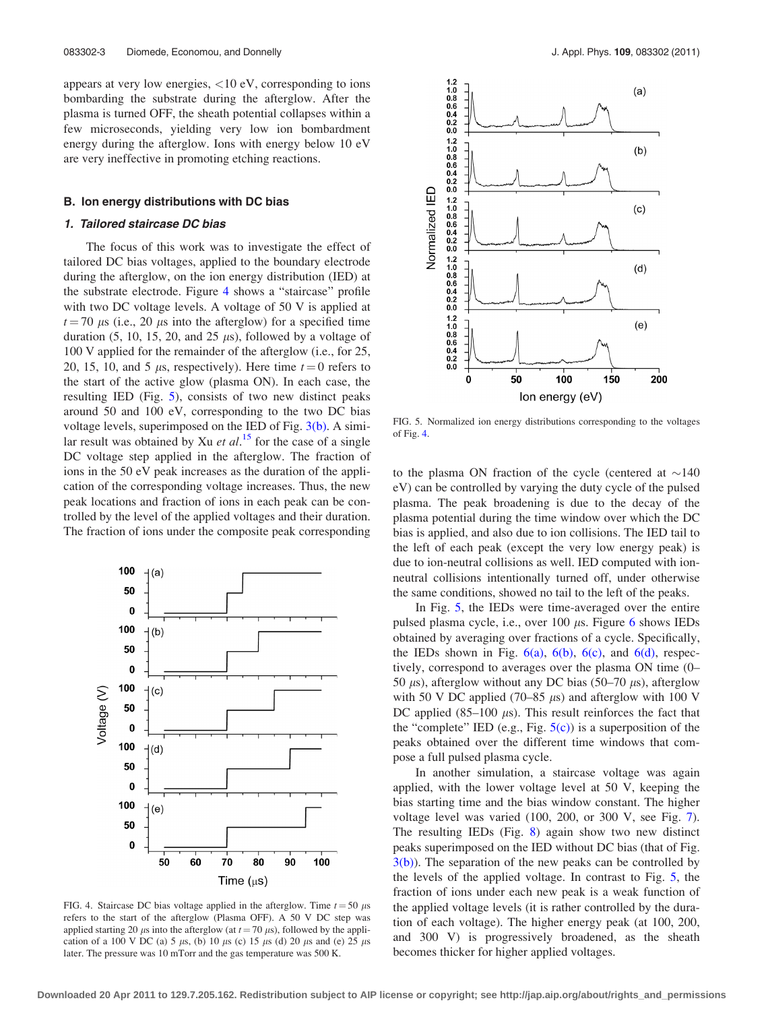<span id="page-2-0"></span>appears at very low energies,  $\langle 10 \text{ eV} \rangle$ , corresponding to ions bombarding the substrate during the afterglow. After the plasma is turned OFF, the sheath potential collapses within a few microseconds, yielding very low ion bombardment energy during the afterglow. Ions with energy below 10 eV are very ineffective in promoting etching reactions.

## B. Ion energy distributions with DC bias

## 1. Tailored staircase DC bias

The focus of this work was to investigate the effect of tailored DC bias voltages, applied to the boundary electrode during the afterglow, on the ion energy distribution (IED) at the substrate electrode. Figure 4 shows a "staircase" profile with two DC voltage levels. A voltage of 50 V is applied at  $t = 70 \mu s$  (i.e., 20  $\mu s$  into the afterglow) for a specified time duration (5, 10, 15, 20, and 25  $\mu$ s), followed by a voltage of 100 V applied for the remainder of the afterglow (i.e., for 25, 20, 15, 10, and 5  $\mu$ s, respectively). Here time  $t = 0$  refers to the start of the active glow (plasma ON). In each case, the resulting IED (Fig. 5), consists of two new distinct peaks around 50 and 100 eV, corresponding to the two DC bias voltage levels, superimposed on the IED of Fig. [3\(b\).](#page-1-0) A similar result was obtained by Xu *et al.*<sup>[15](#page-6-0)</sup> for the case of a single DC voltage step applied in the afterglow. The fraction of ions in the 50 eV peak increases as the duration of the application of the corresponding voltage increases. Thus, the new peak locations and fraction of ions in each peak can be controlled by the level of the applied voltages and their duration. The fraction of ions under the composite peak corresponding



FIG. 4. Staircase DC bias voltage applied in the afterglow. Time  $t = 50 \mu s$ refers to the start of the afterglow (Plasma OFF). A 50 V DC step was applied starting 20  $\mu$ s into the afterglow (at  $t = 70 \mu s$ ), followed by the application of a 100 V DC (a) 5  $\mu$ s, (b) 10  $\mu$ s (c) 15  $\mu$ s (d) 20  $\mu$ s and (e) 25  $\mu$ s later. The pressure was 10 mTorr and the gas temperature was 500 K.



FIG. 5. Normalized ion energy distributions corresponding to the voltages of Fig. 4.

to the plasma ON fraction of the cycle (centered at  $\sim$ 140 eV) can be controlled by varying the duty cycle of the pulsed plasma. The peak broadening is due to the decay of the plasma potential during the time window over which the DC bias is applied, and also due to ion collisions. The IED tail to the left of each peak (except the very low energy peak) is due to ion-neutral collisions as well. IED computed with ionneutral collisions intentionally turned off, under otherwise the same conditions, showed no tail to the left of the peaks.

In Fig. 5, the IEDs were time-averaged over the entire pulsed plasma cycle, i.e., over 100  $\mu$ s. Figure [6](#page-3-0) shows IEDs obtained by averaging over fractions of a cycle. Specifically, the IEDs shown in Fig.  $6(a)$ ,  $6(b)$ ,  $6(c)$ , and  $6(d)$ , respectively, correspond to averages over the plasma ON time (0– 50  $\mu$ s), afterglow without any DC bias (50–70  $\mu$ s), afterglow with 50 V DC applied (70–85  $\mu$ s) and afterglow with 100 V DC applied  $(85-100 \mu s)$ . This result reinforces the fact that the "complete" IED (e.g., Fig.  $5(c)$ ) is a superposition of the peaks obtained over the different time windows that compose a full pulsed plasma cycle.

In another simulation, a staircase voltage was again applied, with the lower voltage level at 50 V, keeping the bias starting time and the bias window constant. The higher voltage level was varied (100, 200, or 300 V, see Fig. [7](#page-3-0)). The resulting IEDs (Fig. [8\)](#page-3-0) again show two new distinct peaks superimposed on the IED without DC bias (that of Fig.  $3(b)$ ). The separation of the new peaks can be controlled by the levels of the applied voltage. In contrast to Fig. 5, the fraction of ions under each new peak is a weak function of the applied voltage levels (it is rather controlled by the duration of each voltage). The higher energy peak (at 100, 200, and 300 V) is progressively broadened, as the sheath becomes thicker for higher applied voltages.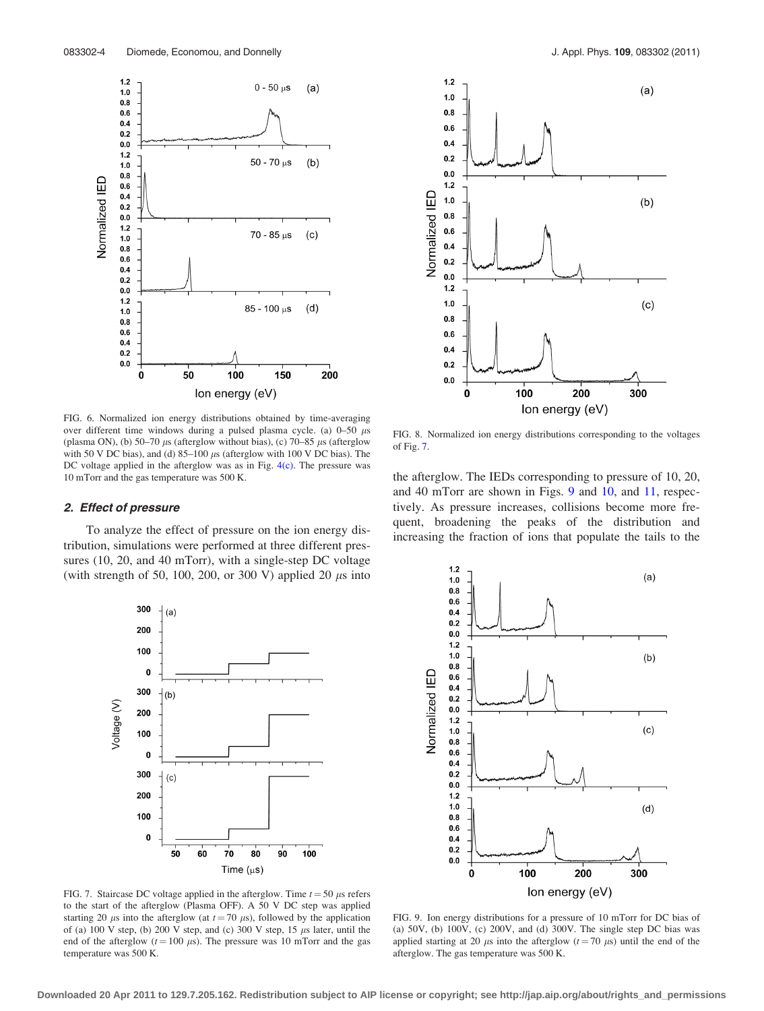<span id="page-3-0"></span>

FIG. 6. Normalized ion energy distributions obtained by time-averaging over different time windows during a pulsed plasma cycle. (a)  $0-50 \mu s$ (plasma ON), (b) 50–70  $\mu$ s (afterglow without bias), (c) 70–85  $\mu$ s (afterglow with 50 V DC bias), and (d)  $85-100 \mu s$  (afterglow with 100 V DC bias). The DC voltage applied in the afterglow was as in Fig. [4\(c\)](#page-2-0). The pressure was 10 mTorr and the gas temperature was 500 K.

#### 2. Effect of pressure

To analyze the effect of pressure on the ion energy distribution, simulations were performed at three different pressures (10, 20, and 40 mTorr), with a single-step DC voltage (with strength of 50, 100, 200, or 300 V) applied 20  $\mu$ s into





FIG. 8. Normalized ion energy distributions corresponding to the voltages of Fig. 7.

the afterglow. The IEDs corresponding to pressure of 10, 20, and 40 mTorr are shown in Figs. 9 and [10](#page-4-0), and [11,](#page-4-0) respectively. As pressure increases, collisions become more frequent, broadening the peaks of the distribution and increasing the fraction of ions that populate the tails to the



FIG. 7. Staircase DC voltage applied in the afterglow. Time  $t = 50 \mu s$  refers to the start of the afterglow (Plasma OFF). A 50 V DC step was applied starting 20  $\mu$ s into the afterglow (at  $t = 70 \mu s$ ), followed by the application of (a)  $100$  V step, (b)  $200$  V step, and (c)  $300$  V step,  $15 \mu s$  later, until the end of the afterglow ( $t = 100 \mu s$ ). The pressure was 10 mTorr and the gas temperature was 500 K.



FIG. 9. Ion energy distributions for a pressure of 10 mTorr for DC bias of (a) 50V, (b) 100V, (c) 200V, and (d) 300V. The single step DC bias was applied starting at 20  $\mu$ s into the afterglow ( $t = 70 \mu$ s) until the end of the afterglow. The gas temperature was 500 K.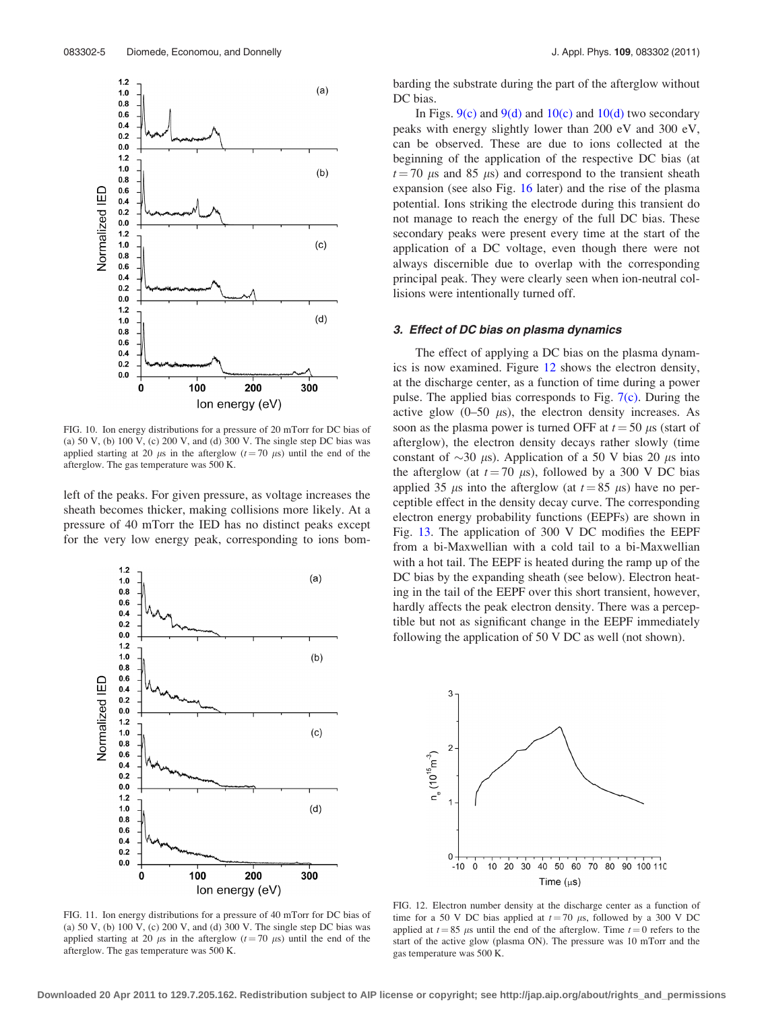<span id="page-4-0"></span>

FIG. 10. Ion energy distributions for a pressure of 20 mTorr for DC bias of (a) 50 V, (b) 100 V, (c) 200 V, and (d) 300 V. The single step DC bias was applied starting at 20  $\mu$ s in the afterglow ( $t = 70 \mu$ s) until the end of the afterglow. The gas temperature was 500 K.

left of the peaks. For given pressure, as voltage increases the sheath becomes thicker, making collisions more likely. At a pressure of 40 mTorr the IED has no distinct peaks except for the very low energy peak, corresponding to ions bom-



FIG. 11. Ion energy distributions for a pressure of 40 mTorr for DC bias of (a) 50 V, (b) 100 V, (c) 200 V, and (d) 300 V. The single step DC bias was applied starting at 20  $\mu$ s in the afterglow ( $t = 70 \mu$ s) until the end of the afterglow. The gas temperature was 500 K.

barding the substrate during the part of the afterglow without DC bias.

In Figs.  $9(c)$  and  $9(d)$  and  $10(c)$  and  $10(d)$  two secondary peaks with energy slightly lower than 200 eV and 300 eV, can be observed. These are due to ions collected at the beginning of the application of the respective DC bias (at  $t = 70 \mu s$  and 85  $\mu s$ ) and correspond to the transient sheath expansion (see also Fig. [16](#page-5-0) later) and the rise of the plasma potential. Ions striking the electrode during this transient do not manage to reach the energy of the full DC bias. These secondary peaks were present every time at the start of the application of a DC voltage, even though there were not always discernible due to overlap with the corresponding principal peak. They were clearly seen when ion-neutral collisions were intentionally turned off.

#### 3. Effect of DC bias on plasma dynamics

The effect of applying a DC bias on the plasma dynamics is now examined. Figure 12 shows the electron density, at the discharge center, as a function of time during a power pulse. The applied bias corresponds to Fig.  $7(c)$ . During the active glow  $(0-50 \mu s)$ , the electron density increases. As soon as the plasma power is turned OFF at  $t = 50 \mu s$  (start of afterglow), the electron density decays rather slowly (time constant of  $\sim$ 30  $\mu$ s). Application of a 50 V bias 20  $\mu$ s into the afterglow (at  $t = 70 \mu s$ ), followed by a 300 V DC bias applied 35  $\mu$ s into the afterglow (at  $t = 85 \mu s$ ) have no perceptible effect in the density decay curve. The corresponding electron energy probability functions (EEPFs) are shown in Fig. [13](#page-5-0). The application of 300 V DC modifies the EEPF from a bi-Maxwellian with a cold tail to a bi-Maxwellian with a hot tail. The EEPF is heated during the ramp up of the DC bias by the expanding sheath (see below). Electron heating in the tail of the EEPF over this short transient, however, hardly affects the peak electron density. There was a perceptible but not as significant change in the EEPF immediately following the application of 50 V DC as well (not shown).



FIG. 12. Electron number density at the discharge center as a function of time for a 50 V DC bias applied at  $t = 70 \mu s$ , followed by a 300 V DC applied at  $t = 85 \mu s$  until the end of the afterglow. Time  $t = 0$  refers to the start of the active glow (plasma ON). The pressure was 10 mTorr and the gas temperature was 500 K.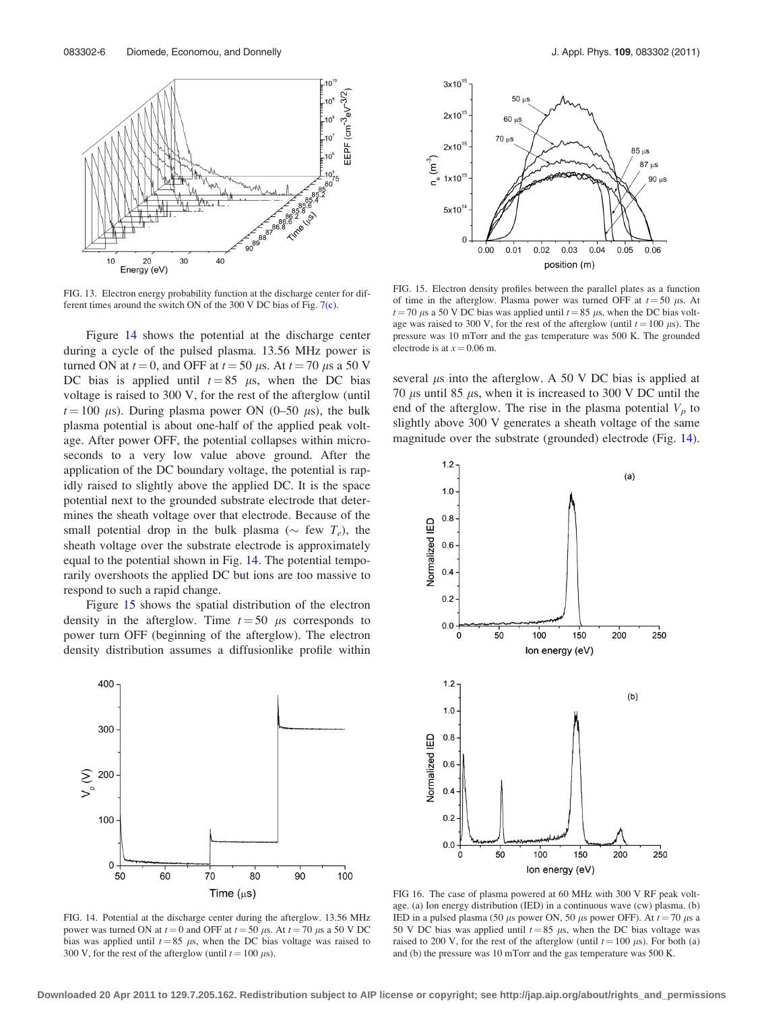<span id="page-5-0"></span>

FIG. 13. Electron energy probability function at the discharge center for different times around the switch ON of the 300 V DC bias of Fig. [7\(c\).](#page-3-0)

Figure 14 shows the potential at the discharge center during a cycle of the pulsed plasma. 13.56 MHz power is turned ON at  $t = 0$ , and OFF at  $t = 50 \mu s$ . At  $t = 70 \mu s$  a 50 V DC bias is applied until  $t = 85 \mu s$ , when the DC bias voltage is raised to 300 V, for the rest of the afterglow (until  $t = 100 \mu s$ . During plasma power ON (0–50  $\mu s$ ), the bulk plasma potential is about one-half of the applied peak voltage. After power OFF, the potential collapses within microseconds to a very low value above ground. After the application of the DC boundary voltage, the potential is rapidly raised to slightly above the applied DC. It is the space potential next to the grounded substrate electrode that determines the sheath voltage over that electrode. Because of the small potential drop in the bulk plasma ( $\sim$  few  $T_e$ ), the sheath voltage over the substrate electrode is approximately equal to the potential shown in Fig. 14. The potential temporarily overshoots the applied DC but ions are too massive to respond to such a rapid change.

Figure 15 shows the spatial distribution of the electron density in the afterglow. Time  $t = 50$  µs corresponds to power turn OFF (beginning of the afterglow). The electron density distribution assumes a diffusionlike profile within



FIG. 14. Potential at the discharge center during the afterglow. 13.56 MHz power was turned ON at  $t = 0$  and OFF at  $t = 50 \mu s$ . At  $t = 70 \mu s$  a 50 V DC bias was applied until  $t = 85 \mu s$ , when the DC bias voltage was raised to 300 V, for the rest of the afterglow (until  $t = 100 \mu s$ ).



FIG. 15. Electron density profiles between the parallel plates as a function of time in the afterglow. Plasma power was turned OFF at  $t = 50 \mu s$ . At  $t = 70 \,\mu s$  a 50 V DC bias was applied until  $t = 85 \,\mu s$ , when the DC bias voltage was raised to 300 V, for the rest of the afterglow (until  $t = 100 \mu s$ ). The pressure was 10 mTorr and the gas temperature was 500 K. The grounded electrode is at  $x = 0.06$  m.

several  $\mu$ s into the afterglow. A 50 V DC bias is applied at 70  $\mu$ s until 85  $\mu$ s, when it is increased to 300 V DC until the end of the afterglow. The rise in the plasma potential  $V_p$  to slightly above 300 V generates a sheath voltage of the same magnitude over the substrate (grounded) electrode (Fig. 14).



FIG 16. The case of plasma powered at 60 MHz with 300 V RF peak voltage. (a) Ion energy distribution (IED) in a continuous wave (cw) plasma. (b) IED in a pulsed plasma (50  $\mu$ s power ON, 50  $\mu$ s power OFF). At  $t = 70 \mu$ s a 50 V DC bias was applied until  $t = 85 \mu s$ , when the DC bias voltage was raised to 200 V, for the rest of the afterglow (until  $t = 100 \mu s$ ). For both (a) and (b) the pressure was 10 mTorr and the gas temperature was 500 K.